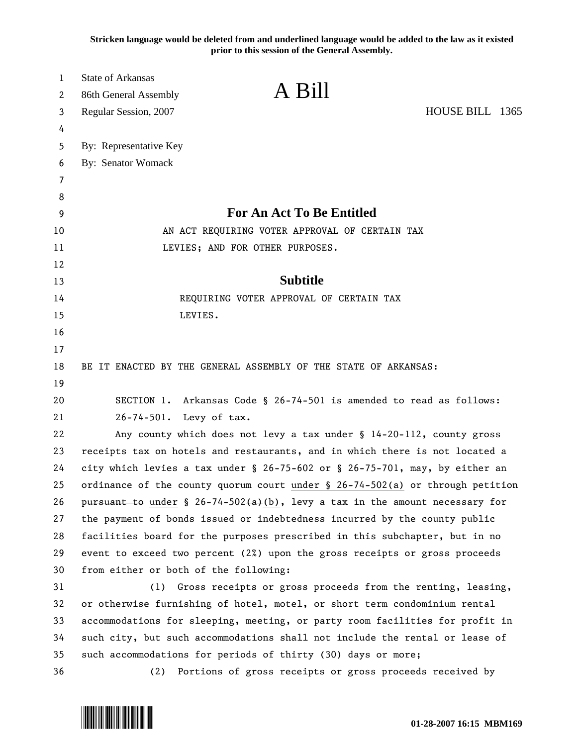**Stricken language would be deleted from and underlined language would be added to the law as it existed prior to this session of the General Assembly.**

| 1        | <b>State of Arkansas</b>                                                         |  |
|----------|----------------------------------------------------------------------------------|--|
| 2        | A Bill<br>86th General Assembly                                                  |  |
| 3        | HOUSE BILL 1365<br>Regular Session, 2007                                         |  |
| 4        |                                                                                  |  |
| 5        | By: Representative Key                                                           |  |
| 6        | <b>By: Senator Womack</b>                                                        |  |
| 7        |                                                                                  |  |
| 8        | <b>For An Act To Be Entitled</b>                                                 |  |
| 9        |                                                                                  |  |
| 10       | AN ACT REQUIRING VOTER APPROVAL OF CERTAIN TAX                                   |  |
| 11<br>12 | LEVIES; AND FOR OTHER PURPOSES.                                                  |  |
| 13       | <b>Subtitle</b>                                                                  |  |
| 14       | REQUIRING VOTER APPROVAL OF CERTAIN TAX                                          |  |
| 15       | LEVIES.                                                                          |  |
| 16       |                                                                                  |  |
| 17       |                                                                                  |  |
| 18       | BE IT ENACTED BY THE GENERAL ASSEMBLY OF THE STATE OF ARKANSAS:                  |  |
| 19       |                                                                                  |  |
| 20       | SECTION 1. Arkansas Code § 26-74-501 is amended to read as follows:              |  |
| 21       | 26-74-501. Levy of tax.                                                          |  |
| 22       | Any county which does not levy a tax under § 14-20-112, county gross             |  |
| 23       | receipts tax on hotels and restaurants, and in which there is not located a      |  |
| 24       | city which levies a tax under § 26-75-602 or § 26-75-701, may, by either an      |  |
| 25       | ordinance of the county quorum court under $\S$ 26-74-502(a) or through petition |  |
| 26       | pursuant to under § 26-74-502(a)(b), levy a tax in the amount necessary for      |  |
| 27       | the payment of bonds issued or indebtedness incurred by the county public        |  |
| 28       | facilities board for the purposes prescribed in this subchapter, but in no       |  |
| 29       | event to exceed two percent (2%) upon the gross receipts or gross proceeds       |  |
| 30       | from either or both of the following:                                            |  |
| 31       | (1) Gross receipts or gross proceeds from the renting, leasing,                  |  |
| 32       | or otherwise furnishing of hotel, motel, or short term condominium rental        |  |
| 33       | accommodations for sleeping, meeting, or party room facilities for profit in     |  |
| 34       | such city, but such accommodations shall not include the rental or lease of      |  |
| 35       | such accommodations for periods of thirty (30) days or more;                     |  |
| 36       | Portions of gross receipts or gross proceeds received by<br>(2)                  |  |

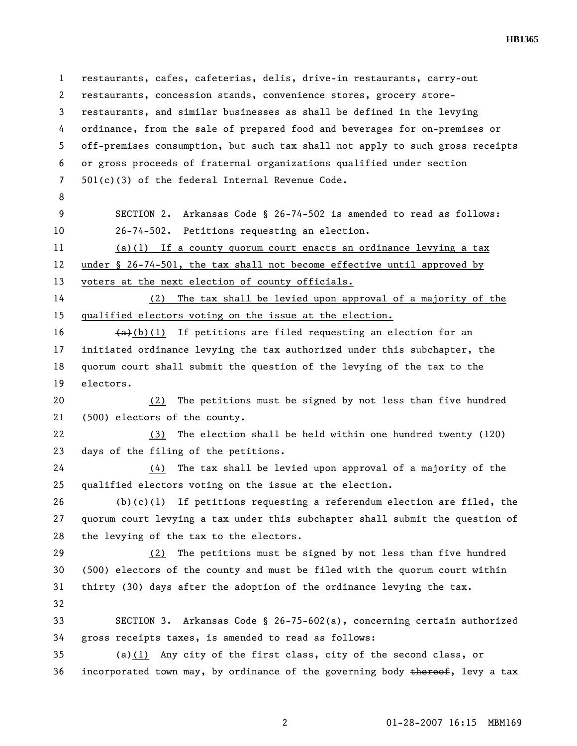**HB1365** 

1 restaurants, cafes, cafeterias, delis, drive-in restaurants, carry-out 2 restaurants, concession stands, convenience stores, grocery store-3 restaurants, and similar businesses as shall be defined in the levying 4 ordinance, from the sale of prepared food and beverages for on-premises or 5 off-premises consumption, but such tax shall not apply to such gross receipts 6 or gross proceeds of fraternal organizations qualified under section 7 501(c)(3) of the federal Internal Revenue Code. 8 9 SECTION 2. Arkansas Code § 26-74-502 is amended to read as follows: 10 26-74-502. Petitions requesting an election. 11 (a)(1) If a county quorum court enacts an ordinance levying a tax 12 under § 26-74-501, the tax shall not become effective until approved by 13 voters at the next election of county officials. 14 (2) The tax shall be levied upon approval of a majority of the 15 qualified electors voting on the issue at the election. 16  $(a)+(b)(1)$  If petitions are filed requesting an election for an 17 initiated ordinance levying the tax authorized under this subchapter, the 18 quorum court shall submit the question of the levying of the tax to the 19 electors. 20 (2) The petitions must be signed by not less than five hundred 21 (500) electors of the county. 22 (3) The election shall be held within one hundred twenty (120) 23 days of the filing of the petitions. 24 (4) The tax shall be levied upon approval of a majority of the 25 qualified electors voting on the issue at the election. 26  $(b)-(1)$  If petitions requesting a referendum election are filed, the 27 quorum court levying a tax under this subchapter shall submit the question of 28 the levying of the tax to the electors. 29 (2) The petitions must be signed by not less than five hundred 30 (500) electors of the county and must be filed with the quorum court within 31 thirty (30) days after the adoption of the ordinance levying the tax. 32 33 SECTION 3. Arkansas Code § 26-75-602(a), concerning certain authorized 34 gross receipts taxes, is amended to read as follows: 35 (a)(1) Any city of the first class, city of the second class, or 36 incorporated town may, by ordinance of the governing body thereof, levy a tax